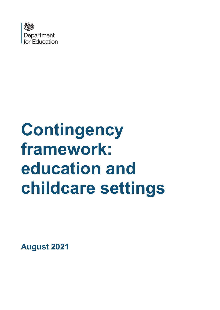

# **Contingency framework: education and childcare settings**

**August 2021**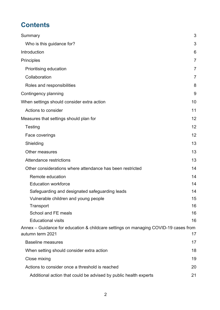# **Contents**

| Summary                                                                                                 | 3  |
|---------------------------------------------------------------------------------------------------------|----|
| Who is this guidance for?                                                                               | 3  |
| Introduction                                                                                            | 6  |
| <b>Principles</b>                                                                                       | 7  |
| Prioritising education                                                                                  | 7  |
| Collaboration                                                                                           | 7  |
| Roles and responsibilities                                                                              | 8  |
| Contingency planning                                                                                    | 9  |
| When settings should consider extra action                                                              | 10 |
| Actions to consider                                                                                     | 11 |
| Measures that settings should plan for                                                                  | 12 |
| Testing                                                                                                 | 12 |
| Face coverings                                                                                          | 12 |
| Shielding                                                                                               | 13 |
| Other measures                                                                                          | 13 |
| Attendance restrictions                                                                                 | 13 |
| Other considerations where attendance has been restricted                                               | 14 |
| Remote education                                                                                        | 14 |
| <b>Education workforce</b>                                                                              | 14 |
| Safeguarding and designated safeguarding leads                                                          | 14 |
| Vulnerable children and young people                                                                    | 15 |
| Transport                                                                                               | 16 |
| School and FE meals                                                                                     | 16 |
| <b>Educational visits</b>                                                                               | 16 |
| Annex - Guidance for education & childcare settings on managing COVID-19 cases from<br>autumn term 2021 | 17 |
| <b>Baseline measures</b>                                                                                | 17 |
| When setting should consider extra action                                                               | 18 |
| Close mixing                                                                                            | 19 |
| Actions to consider once a threshold is reached                                                         | 20 |
| Additional action that could be advised by public health experts                                        | 21 |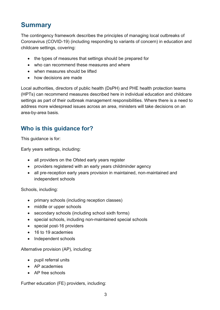# <span id="page-2-0"></span>**Summary**

The contingency framework describes the principles of managing local outbreaks of Coronavirus (COVID-19) (including responding to variants of concern) in education and childcare settings, covering:

- the types of measures that settings should be prepared for
- who can recommend these measures and where
- when measures should be lifted
- how decisions are made

Local authorities, directors of public health (DsPH) and PHE health protection teams (HPTs) can recommend measures described here in individual education and childcare settings as part of their outbreak management responsibilities. Where there is a need to address more widespread issues across an area, ministers will take decisions on an area-by-area basis.

## <span id="page-2-1"></span>**Who is this guidance for?**

This guidance is for:

Early years settings, including:

- all providers on the Ofsted early years register
- providers registered with an early years childminder agency
- all pre-reception early years provision in maintained, non-maintained and independent schools

Schools, including:

- primary schools (including reception classes)
- middle or upper schools
- secondary schools (including school sixth forms)
- special schools, including non-maintained special schools
- special post-16 providers
- 16 to 19 academies
- Independent schools

Alternative provision (AP), including:

- pupil referral units
- AP academies
- AP free schools

Further education (FE) providers, including: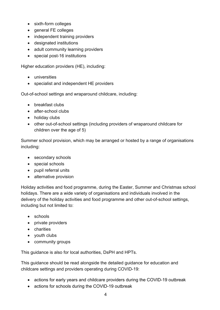- sixth-form colleges
- general FE colleges
- independent training providers
- designated institutions
- adult community learning providers
- special post-16 institutions

Higher education providers (HE), including:

- universities
- specialist and independent HE providers

Out-of-school settings and wraparound childcare, including:

- breakfast clubs
- after-school clubs
- holiday clubs
- other out-of-school settings (including providers of wraparound childcare for children over the age of 5)

Summer school provision, which may be arranged or hosted by a range of organisations including:

- secondary schools
- special schools
- pupil referral units
- alternative provision

Holiday activities and food programme, during the Easter, Summer and Christmas school holidays. There are a wide variety of organisations and individuals involved in the delivery of the holiday activities and food programme and other out-of-school settings, including but not limited to:

- schools
- private providers
- charities
- youth clubs
- community groups

This guidance is also for local authorities, DsPH and HPTs.

This guidance should be read alongside the detailed guidance for education and childcare settings and providers operating during COVID-19:

- [actions for early years and childcare providers during the COVID-19 outbreak](https://www.gov.uk/government/publications/coronavirus-covid-19-early-years-and-childcare-closures)
- [actions for schools during the COVID-19 outbreak](https://www.gov.uk/government/publications/actions-for-schools-during-the-coronavirus-outbreak/guidance-for-full-opening-schools)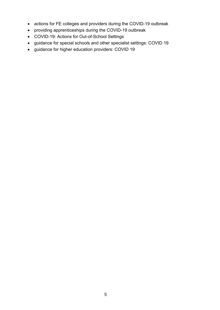- actions for FE [colleges and providers during the COVID-19 outbreak](https://www.gov.uk/government/publications/coronavirus-covid-19-maintaining-further-education-provision?priority-taxon=b350e61d-1db9-4cc2-bb44-fab02882ac25)
- [providing apprenticeships during the COVID-19 outbreak](https://www.gov.uk/government/publications/coronavirus-covid-19-apprenticeship-programme-response?priority-taxon=b350e61d-1db9-4cc2-bb44-fab02882ac25)
- [COVID-19: Actions for Out-of-School Settings](https://www.gov.uk/government/publications/protective-measures-for-holiday-or-after-school-clubs-and-other-out-of-school-settings-for-children-during-the-coronavirus-covid-19-outbreak)
- [guidance for special schools and other specialist settings: COVID 19](https://www.gov.uk/government/publications/guidance-for-full-opening-special-schools-and-other-specialist-settings?priority-taxon=b350e61d-1db9-4cc2-bb44-fab02882ac25)
- [guidance for higher education providers: COVID 19](https://www.gov.uk/government/publications/higher-education-reopening-buildings-and-campuses?priority-taxon=b350e61d-1db9-4cc2-bb44-fab02882ac25)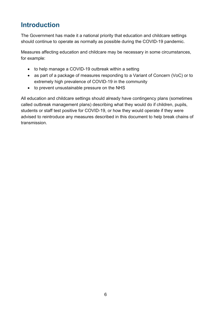# <span id="page-5-0"></span>**Introduction**

The Government has made it a national priority that education and childcare settings should continue to operate as normally as possible during the COVID-19 pandemic.

Measures affecting education and childcare may be necessary in some circumstances, for example:

- to help manage a COVID-19 outbreak within a setting
- as part of a package of measures responding to a Variant of Concern (VoC) or to extremely high prevalence of COVID-19 in the community
- to prevent unsustainable pressure on the NHS

All education and childcare settings should already have contingency plans (sometimes called outbreak management plans) describing what they would do if children, pupils, students or staff test positive for COVID-19, or how they would operate if they were advised to reintroduce any measures described in this document to help break chains of transmission.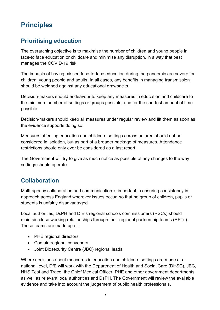# <span id="page-6-0"></span>**Principles**

## <span id="page-6-1"></span>**Prioritising education**

The overarching objective is to maximise the number of children and young people in face-to face education or childcare and minimise any disruption, in a way that best manages the COVID-19 risk.

The impacts of having missed face-to-face education during the pandemic are severe for children, young people and adults. In all cases, any benefits in managing transmission should be weighed against any educational drawbacks.

Decision-makers should endeavour to keep any measures in education and childcare to the minimum number of settings or groups possible, and for the shortest amount of time possible.

Decision-makers should keep all measures under regular review and lift them as soon as the evidence supports doing so.

Measures affecting education and childcare settings across an area should not be considered in isolation, but as part of a broader package of measures. Attendance restrictions should only ever be considered as a last resort.

The Government will try to give as much notice as possible of any changes to the way settings should operate.

## <span id="page-6-2"></span>**Collaboration**

Multi-agency collaboration and communication is important in ensuring consistency in approach across England wherever issues occur, so that no group of children, pupils or students is unfairly disadvantaged.

Local authorities, DsPH and DfE's regional schools commissioners (RSCs) should maintain close working relationships through their regional partnership teams (RPTs). These teams are made up of:

- PHE regional directors
- Contain regional convenors
- Joint Biosecurity Centre (JBC) regional leads

Where decisions about measures in education and childcare settings are made at a national level, DfE will work with the Department of Health and Social Care (DHSC), JBC, NHS Test and Trace, the Chief Medical Officer, PHE and other government departments, as well as relevant local authorities and DsPH. The Government will review the available evidence and take into account the judgement of public health professionals.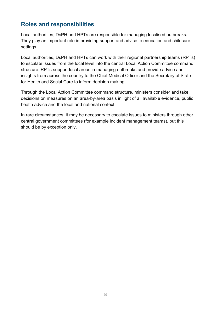## <span id="page-7-0"></span>**Roles and responsibilities**

Local authorities, DsPH and HPTs are responsible for managing localised outbreaks. They play an important role in providing support and advice to education and childcare settings.

Local authorities, DsPH and HPTs can work with their regional partnership teams (RPTs) to escalate issues from the local level into the central Local Action Committee command structure. RPTs support local areas in managing outbreaks and provide advice and insights from across the country to the Chief Medical Officer and the Secretary of State for Health and Social Care to inform decision making.

Through the Local Action Committee command structure, ministers consider and take decisions on measures on an area-by-area basis in light of all available evidence, public health advice and the local and national context.

In rare circumstances, it may be necessary to escalate issues to ministers through other central government committees (for example incident management teams), but this should be by exception only.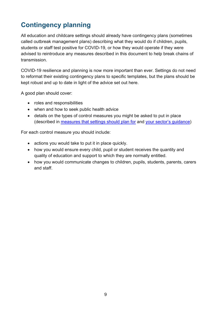# <span id="page-8-0"></span>**Contingency planning**

All education and childcare settings should already have contingency plans (sometimes called outbreak management plans) describing what they would do if children, pupils, students or staff test positive for COVID-19, or how they would operate if they were advised to reintroduce any measures described in this document to help break chains of transmission.

COVID-19 resilience and planning is now more important than ever. Settings do not need to reformat their existing contingency plans to specific templates, but the plans should be kept robust and up to date in light of the advice set out here.

A good plan should cover:

- roles and responsibilities
- when and how to seek public health advice
- details on the types of control measures you might be asked to put in place (described in [measures that settings should plan for](#page-11-0) and [your sector's guidance\)](https://eur01.safelinks.protection.outlook.com/?url=https%3A%2F%2Fwww.gov.uk%2Fcoronavirus%2Feducation-and-childcare&data=04%7C01%7CCovid19.CYPandSchools%40phe.gov.uk%7C747af1ce6ff14aeb8da008d9503f1b3d%7Cee4e14994a354b2ead475f3cf9de8666%7C0%7C0%7C637629054225466672%7CUnknown%7CTWFpbGZsb3d8eyJWIjoiMC4wLjAwMDAiLCJQIjoiV2luMzIiLCJBTiI6Ik1haWwiLCJXVCI6Mn0%3D%7C1000&sdata=L82Zf3DH963%2BI7CupxqwMDtw9eaI2SI%2BpkYZaS4byK8%3D&reserved=0)

For each control measure you should include:

- actions you would take to put it in place quickly.
- how you would ensure every child, pupil or student receives the quantity and quality of education and support to which they are normally entitled.
- how you would communicate changes to children, pupils, students, parents, carers and staff.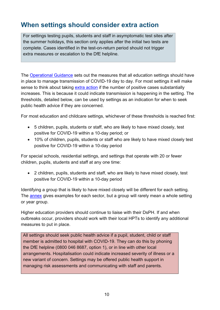# <span id="page-9-0"></span>**When settings should consider extra action**

For settings testing pupils, students and staff in asymptomatic test sites after the summer holidays, this section only applies after the initial two tests are complete. Cases identified in the test-on-return period should not trigger extra measures or escalation to the DfE helpline.

The [Operational Guidance](https://www.gov.uk/coronavirus/education-and-childcare?priority-taxon=774cee22-d896-44c1-a611-e3109cce8eae) sets out the measures that all education settings should have in place to manage transmission of COVID-19 day to day. For most settings it will make sense to think about taking [extra action](#page-10-0) if the number of positive cases substantially increases. This is because it could indicate transmission is happening in the setting. The thresholds, detailed below, can be used by settings as an indication for when to seek public health advice if they are concerned.

For most education and childcare settings, whichever of these thresholds is reached first:

- 5 children, pupils, students or staff, who are likely to have mixed closely, test positive for COVID-19 within a 10-day period; or
- 10% of children, pupils, students or staff who are likely to have mixed closely test positive for COVID-19 within a 10-day period

For special schools, residential settings, and settings that operate with 20 or fewer children, pupils, students and staff at any one time:

• 2 children, pupils, students and staff, who are likely to have mixed closely, test positive for COVID-19 within a 10-day period

Identifying a group that is likely to have mixed closely will be different for each setting. The **[annex](#page-18-0)** gives examples for each sector, but a group will rarely mean a whole setting or year group.

Higher education providers should continue to liaise with their DsPH. If and when outbreaks occur, providers should work with their local HPTs to identify any additional measures to put in place.

All settings should seek public health advice if a pupil, student, child or staff member is admitted to hospital with COVID-19. They can do this by phoning the DfE helpline (0800 046 8687, option 1), or in line with other local arrangements. Hospitalisation could indicate increased severity of illness or a new variant of concern. Settings may be offered public health support in managing risk assessments and communicating with staff and parents.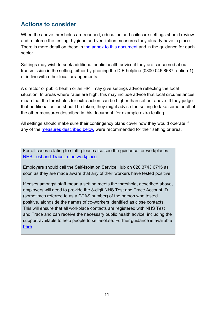## <span id="page-10-0"></span>**Actions to consider**

When the above thresholds are reached, education and childcare settings should review and reinforce the testing, hygiene and ventilation measures they already have in place. There is more detail on these in [the annex to this document](#page-19-0) and in the quidance for each [sector.](https://www.gov.uk/coronavirus/education-and-childcare)

Settings may wish to seek additional public health advice if they are concerned about transmission in the setting, either by phoning the DfE helpline (0800 046 8687, option 1) or in line with other local arrangements.

A director of public health or an HPT may give settings advice reflecting the local situation. In areas where rates are high, this may include advice that local circumstances mean that the thresholds for extra action can be higher than set out above. If they judge that additional action should be taken, they might advise the setting to take some or all of the other measures described in this document, for example extra testing.

All settings should make sure their contingency plans cover how they would operate if any of the [measures described below](#page-11-0) were recommended for their setting or area.

For all cases relating to staff, please also see the guidance for workplaces: [NHS Test and Trace in the workplace](https://www.gov.uk/guidance/nhs-test-and-trace-workplace-guidance?utm_medium=email&utm_campaign=govuk-notifications&utm_source=09bc689c-73ca-4445-94fe-4f79828ed4e2&utm_content=daily)

Employers should call the Self-Isolation Service Hub on 020 3743 6715 as soon as they are made aware that any of their workers have tested positive.

If cases amongst staff mean a setting meets the threshold, described above, employers will need to provide the 8-digit NHS Test and Trace Account ID (sometimes referred to as a CTAS number) of the person who tested positive, alongside the names of co-workers identified as close contacts. This will ensure that all workplace contacts are registered with NHS Test and Trace and can receive the necessary public health advice, including the support available to help people to self-isolate. Further guidance is available [here](https://www.gov.uk/government/publications/test-and-trace-support-payment-scheme-claiming-financial-support/claiming-financial-support-under-the-test-and-trace-support-payment-scheme)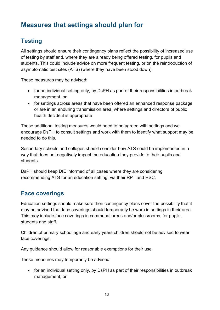# <span id="page-11-0"></span>**Measures that settings should plan for**

# <span id="page-11-1"></span>**Testing**

All settings should ensure their contingency plans reflect the possibility of increased use of testing by staff and, where they are already being offered testing, for pupils and students. This could include advice on more frequent testing, or on the reintroduction of asymptomatic test sites (ATS) (where they have been stood down).

These measures may be advised:

- for an individual setting only, by DsPH as part of their responsibilities in outbreak management, or
- for settings across areas that have been offered an enhanced response package or are in an enduring transmission area, where settings and directors of public health decide it is appropriate

These additional testing measures would need to be agreed with settings and we encourage DsPH to consult settings and work with them to identify what support may be needed to do this.

Secondary schools and colleges should consider how ATS could be implemented in a way that does not negatively impact the education they provide to their pupils and students.

DsPH should keep DfE informed of all cases where they are considering recommending ATS for an education setting, via their RPT and RSC.

## <span id="page-11-2"></span>**Face coverings**

Education settings should make sure their contingency plans cover the possibility that it may be advised that face coverings should temporarily be worn in settings in their area. This may include face coverings in communal areas and/or classrooms, for pupils, students and staff.

Children of primary school age and early years children should not be advised to wear face coverings.

Any guidance should allow for reasonable exemptions for their use.

These measures may temporarily be advised:

• for an individual setting only, by DsPH as part of their responsibilities in outbreak management, or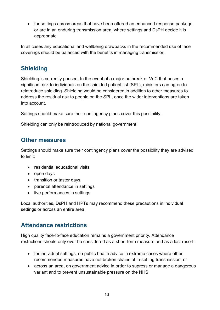• for settings across areas that have been offered an enhanced response package, or are in an enduring transmission area, where settings and DsPH decide it is appropriate

In all cases any educational and wellbeing drawbacks in the recommended use of face coverings should be balanced with the benefits in managing transmission.

# <span id="page-12-0"></span>**Shielding**

Shielding is currently paused. In the event of a major outbreak or VoC that poses a significant risk to individuals on the shielded patient list (SPL), ministers can agree to reintroduce shielding. Shielding would be considered in addition to other measures to address the residual risk to people on the SPL, once the wider interventions are taken into account.

Settings should make sure their contingency plans cover this possibility.

Shielding can only be reintroduced by national government.

## <span id="page-12-1"></span>**Other measures**

Settings should make sure their contingency plans cover the possibility they are advised to limit:

- residential educational visits
- open days
- transition or taster days
- parental attendance in settings
- live performances in settings

Local authorities, DsPH and HPTs may recommend these precautions in individual settings or across an entire area.

## <span id="page-12-2"></span>**Attendance restrictions**

High quality face-to-face education remains a government priority. Attendance restrictions should only ever be considered as a short-term measure and as a last resort:

- for individual settings, on public health advice in extreme cases where other recommended measures have not broken chains of in-setting transmission; or
- across an area, on government advice in order to supress or manage a dangerous variant and to prevent unsustainable pressure on the NHS.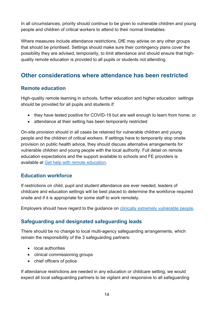In all circumstances, priority should continue to be given to vulnerable children and young people and children of critical workers to attend to their normal timetables.

Where measures include attendance restrictions, DfE may advise on any other groups that should be prioritised. Settings should make sure their contingency plans cover the possibility they are advised, temporarily, to limit attendance and should ensure that highquality remote education is provided to all pupils or students not attending.

## <span id="page-13-0"></span>**Other considerations where attendance has been restricted**

#### <span id="page-13-1"></span>**Remote education**

High-quality remote learning in schools, further education and higher education settings should be provided for all pupils and students if:

- they have tested positive for COVID-19 but are well enough to learn from home; or
- attendance at their setting has been temporarily restricted

On-site provision should in all cases be retained for vulnerable children and young people and the children of critical workers. If settings have to temporarily stop onsite provision on public health advice, they should discuss alternative arrangements for vulnerable children and young people with the local authority. Full detail on remote education expectations and the support available to schools and FE providers is available at Get help with remote [education.](https://get-help-with-remote-education.education.gov.uk/statutory-obligations.html)

#### <span id="page-13-2"></span>**Education workforce**

If restrictions on child, pupil and student attendance are ever needed, leaders of childcare and education settings will be best placed to determine the workforce required onsite and if it is appropriate for some staff to work remotely.

Employers should have regard to the guidance on clinically extremely [vulnerable](https://www.gov.uk/government/publications/guidance-on-shielding-and-protecting-extremely-vulnerable-persons-from-covid-19/guidance-on-shielding-and-protecting-extremely-vulnerable-persons-from-covid-19) people.

#### <span id="page-13-3"></span>**Safeguarding and designated safeguarding leads**

There should be no change to local multi-agency safeguarding arrangements, which remain the responsibility of the 3 safeguarding partners:

- local authorities
- clinical commissioning groups
- chief officers of police

If attendance restrictions are needed in any education or childcare setting, we would expect all local safeguarding partners to be vigilant and responsive to all safeguarding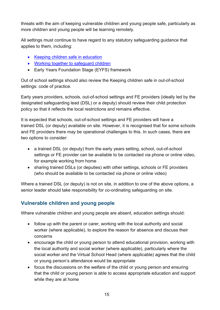threats with the aim of keeping vulnerable children and young people safe, particularly as more children and young people will be learning remotely.

All settings must continue to have regard to any statutory safeguarding guidance that applies to them, including:

- [Keeping children safe in education](https://www.gov.uk/government/publications/keeping-children-safe-in-education--2)
- [Working together to safeguard children](https://www.gov.uk/government/publications/working-together-to-safeguard-children--2)
- [Early Years Foundation Stage \(EYFS\) framework](https://www.gov.uk/government/publications/working-together-to-safeguard-children--2)

Out of school settings should also review the Keeping children safe in out-of-school settings: code of practice.

Early years providers, schools, out-of-school settings and FE providers (ideally led by the designated safeguarding lead (DSL) or a deputy) should review their child protection policy so that it reflects the local restrictions and remains effective.

It is expected that schools, out-of-school settings and FE providers will have a trained DSL (or deputy) available on site. However, it is recognised that for some schools and FE providers there may be operational challenges to this. In such cases, there are two options to consider:

- a trained DSL (or deputy) from the early years setting, school, out-of-school settings or FE provider can be available to be contacted via phone or online video, for example working from home
- sharing trained DSLs (or deputies) with other settings, schools or FE providers (who should be available to be contacted via phone or online video)

Where a trained DSL (or deputy) is not on site, in addition to one of the above options, a senior leader should take responsibility for co-ordinating safeguarding on site.

#### <span id="page-14-0"></span>**Vulnerable children and young people**

Where vulnerable children and young people are absent, education settings should:

- follow up with the parent or carer, working with the local authority and social worker (where applicable), to explore the reason for absence and discuss their concerns
- encourage the child or young person to attend educational provision, working with the local authority and social worker (where applicable), particularly where the social worker and the Virtual School Head (where applicable) agrees that the child or young person's attendance would be appropriate
- focus the discussions on the welfare of the child or young person and ensuring that the child or young person is able to access appropriate education and support while they are at home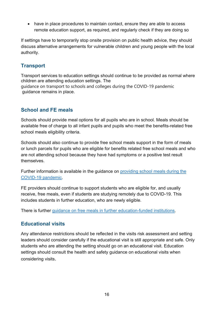• have in place procedures to maintain contact, ensure they are able to access remote education support, as required, and regularly check if they are doing so

If settings have to temporarily stop onsite provision on public health advice, they should discuss alternative arrangements for vulnerable children and young people with the local authority.

#### <span id="page-15-0"></span>**Transport**

Transport services to education settings should continue to be provided as normal where children are attending education settings. The guidance on transport to schools and colleges during the COVID-19 pandemic guidance remains in place.

#### <span id="page-15-1"></span>**School and FE meals**

Schools should provide meal options for all pupils who are in school. Meals should be available free of charge to all infant pupils and pupils who meet the benefits-related free school meals eligibility criteria.

Schools should also continue to provide free school meals support in the form of meals or lunch parcels for pupils who are eligible for benefits related free school meals and who are not attending school because they have had symptoms or a positive test result themselves.

Further information is available in the guidance on [providing](https://www.gov.uk/government/publications/covid-19-free-school-meals-guidance/covid-19-free-school-meals-guidance-for-schools) school meals during the [COVID-19](https://www.gov.uk/government/publications/covid-19-free-school-meals-guidance/covid-19-free-school-meals-guidance-for-schools) pandemic.

FE providers should continue to support students who are eligible for, and usually receive, free meals, even if students are studying remotely due to COVID-19. This includes students in further education, who are newly eligible.

There is further guidance on free meals in further [education-funded](https://www.gov.uk/guidance/free-meals-in-further-education-funded-institutions-guide-for-the-2020-to-2021-academic-year) institutions.

#### <span id="page-15-2"></span>**Educational visits**

Any attendance restrictions should be reflected in the visits risk assessment and setting leaders should consider carefully if the educational visit is still appropriate and safe. Only students who are attending the setting should go on an educational visit. Education settings should consult the health and safety guidance on educational visits when considering visits.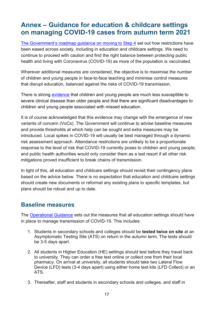# <span id="page-16-0"></span>**Annex – Guidance for education & childcare settings on managing COVID-19 cases from autumn term 2021**

[The Government's roadmap guidance](https://www.gov.uk/government/publications/covid-19-response-summer-2021-roadmap/moving-to-step-4-of-the-roadmap) on moving to Step 4 set out how restrictions have been eased across society, including in education and childcare settings. We need to continue to proceed with caution and find the right balance between protecting public health and living with Coronavirus (COVID-19) as more of the population is vaccinated.

Wherever additional measures are considered, the objective is to maximise the number of children and young people in face-to-face teaching and minimise control measures that disrupt education, balanced against the risks of COVID-19 transmission.

There is strong [evidence](https://www.ecdc.europa.eu/sites/default/files/documents/COVID-19-in-children-and-the-role-of-school-settings-in-transmission-first-update_1.pdf) that children and young people are much less susceptible to severe clinical disease than older people and that there are significant disadvantages to children and young people associated with missed education.

It is of course acknowledged that this evidence may change with the emergence of new variants of concern (VoCs). The Government will continue to advise baseline measures and provide thresholds at which help can be sought and extra measures may be introduced. Local spikes in COVID-19 will usually be best managed through a dynamic risk assessment approach. Attendance restrictions are unlikely to be a proportionate response to the level of risk that COVID-19 currently poses to children and young people, and public health authorities would only consider them as a last resort if all other risk mitigations proved insufficient to break chains of transmission.

In light of this, all education and childcare settings should revisit their contingency plans based on the advice below. There is no expectation that education and childcare settings should create new documents or reformat any existing plans to specific templates, but plans should be robust and up to date.

#### <span id="page-16-1"></span>**Baseline measures**

The [Operational Guidance](https://www.gov.uk/coronavirus/education-and-childcare?priority-taxon=774cee22-d896-44c1-a611-e3109cce8eae) sets out the measures that all education settings should have in place to manage transmission of COVID-19. This includes:

- 1. Students in secondary schools and colleges should be **tested twice on site** at an Asymptomatic Testing Site (ATS) on return in the autumn term. The tests should be 3-5 days apart.
- 2. All students in Higher Education (HE) settings should test before they travel back to university. They can order a free test online or collect one from their local pharmacy. On arrival at university, all students should take two Lateral Flow Device (LFD) tests (3-4 days apart) using either home test kits (LFD Collect) or an ATS.
- 3. Thereafter, staff and students in secondary schools and colleges, and staff in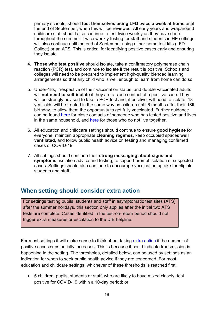primary schools, should **test themselves using LFD twice a week at home** until the end of September, when this will be reviewed. All early years and wraparound childcare staff should also continue to test twice weekly as they have done throughout the summer. Twice weekly testing for staff and students in HE settings will also continue until the end of September using either home test kits (LFD Collect) or an ATS. This is critical for identifying positive cases early and ensuring they isolate.

- 4. **Those who test positive** should isolate, take a confirmatory polymerase chain reaction (PCR) test, and continue to isolate if the result is positive. Schools and colleges will need to be prepared to implement high-quality blended learning arrangements so that any child who is well enough to learn from home can do so.
- 5. Under-18s, irrespective of their vaccination status, and double vaccinated adults will **not need to self-isolate** if they are a close contact of a positive case. They will be strongly advised to take a PCR test and, if positive, will need to isolate. 18 year-olds will be treated in the same way as children until 6 months after their 18th birthday, to allow them the opportunity to get fully vaccinated. Further guidance can be found [here](https://www.gov.uk/government/publications/covid-19-stay-at-home-guidance/stay-at-home-guidance-for-households-with-possible-coronavirus-covid-19-infection) for close contacts of someone who has tested positive and lives in the same household, and [here](https://www.gov.uk/government/publications/guidance-for-contacts-of-people-with-possible-or-confirmed-coronavirus-covid-19-infection-who-do-not-live-with-the-person/guidance-for-contacts-of-people-with-possible-or-confirmed-coronavirus-covid-19-infection-who-do-not-live-with-the-person) for those who do not live together.
- 6. All education and childcare settings should continue to ensure **good hygiene** for everyone, maintain appropriate **cleaning regimes**, keep occupied spaces **well ventilated**, and follow public health advice on testing and managing confirmed cases of COVID-19.
- 7. All settings should continue their **strong messaging about signs and symptoms**, isolation advice and testing, to support prompt isolation of suspected cases. Settings should also continue to encourage vaccination uptake for eligible students and staff.

#### <span id="page-17-0"></span>**When setting should consider extra action**

For settings testing pupils, students and staff in asymptomatic test sites (ATS) after the summer holidays, this section only applies after the initial two ATS tests are complete. Cases identified in the test-on-return period should not trigger extra measures or escalation to the DfE helpline.

For most settings it will make sense to think about taking [extra action](#page-10-0) if the number of positive cases substantially increases. This is because it could indicate transmission is happening in the setting. The thresholds, detailed below, can be used by settings as an indication for when to seek public health advice if they are concerned. For most education and childcare settings, whichever of these thresholds is reached first:

• 5 children, pupils, students or staff, who are likely to have mixed closely, test positive for COVID-19 within a 10-day period; or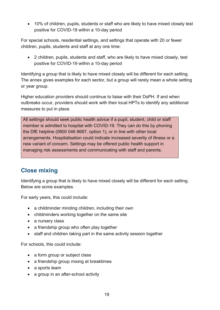• 10% of children, pupils, students or staff who are likely to have mixed closely test positive for COVID-19 within a 10-day period

For special schools, residential settings, and settings that operate with 20 or fewer children, pupils, students and staff at any one time:

• 2 children, pupils, students and staff, who are likely to have mixed closely, test positive for COVID-19 within a 10-day period

Identifying a group that is likely to have mixed closely will be different for each setting. The annex gives examples for each sector, but a group will rarely mean a whole setting or year group.

Higher education providers should continue to liaise with their DsPH. If and when outbreaks occur, providers should work with their local HPTs to identify any additional measures to put in place.

All settings should seek public health advice if a pupil, student, child or staff member is admitted to hospital with COVID-19. They can do this by phoning the DfE helpline (0800 046 8687, option 1), or in line with other local arrangements. Hospitalisation could indicate increased severity of illness or a new variant of concern. Settings may be offered public health support in managing risk assessments and communicating with staff and parents.

#### <span id="page-18-0"></span>**Close mixing**

Identifying a group that is likely to have mixed closely will be different for each setting. Below are some examples.

For early years, this could include:

- a childminder minding children, including their own
- childminders working together on the same site
- a nursery class
- a friendship group who often play together
- staff and children taking part in the same activity session together

For schools, this could include:

- a form group or subject class
- a friendship group mixing at breaktimes
- a sports team
- a group in an after-school activity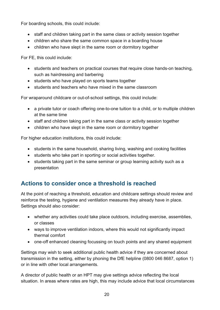For boarding schools, this could include:

- staff and children taking part in the same class or activity session together
- children who share the same common space in a boarding house
- children who have slept in the same room or dormitory together

For FE, this could include:

- students and teachers on practical courses that require close hands-on teaching, such as hairdressing and barbering
- students who have played on sports teams together
- students and teachers who have mixed in the same classroom

For wraparound childcare or out-of-school settings, this could include:

- a private tutor or coach offering one-to-one tuition to a child, or to multiple children at the same time
- staff and children taking part in the same class or activity session together
- children who have slept in the same room or dormitory together

For higher education institutions, this could include:

- students in the same household, sharing living, washing and cooking facilities
- students who take part in sporting or social activities together.
- students taking part in the same seminar or group learning activity such as a presentation

## <span id="page-19-0"></span>**Actions to consider once a threshold is reached**

At the point of reaching a threshold, education and childcare settings should review and reinforce the testing, hygiene and ventilation measures they already have in place. Settings should also consider:

- whether any activities could take place outdoors, including exercise, assemblies, or classes
- ways to improve ventilation indoors, where this would not significantly impact thermal comfort
- one-off enhanced cleaning focussing on touch points and any shared equipment

Settings may wish to seek additional public health advice if they are concerned about transmission in the setting, either by phoning the DfE helpline (0800 046 8687, option 1) or in line with other local arrangements.

A director of public health or an HPT may give settings advice reflecting the local situation. In areas where rates are high, this may include advice that local circumstances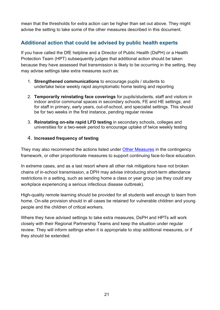mean that the thresholds for extra action can be higher than set out above. They might advise the setting to take some of the other measures described in this document.

#### <span id="page-20-0"></span>**Additional action that could be advised by public health experts**

If you have called the DfE helpline and a Director of Public Health (DsPH) or a Health Protection Team (HPT) subsequently judges that additional action should be taken because they have assessed that transmission is likely to be occurring in the setting, they may advise settings take extra measures such as:

- 1. **Strengthened communications** to encourage pupils / students to undertake twice weekly rapid asymptomatic home testing and reporting
- 2. **Temporarily reinstating face coverings** for pupils/students, staff and visitors in indoor and/or communal spaces in secondary schools, FE and HE settings, and for staff in primary, early years, out-of-school, and specialist settings. This should be for two weeks in the first instance, pending regular review
- 3. **Reinstating on-site rapid LFD testing** in secondary schools, colleges and universities for a two-week period to encourage uptake of twice weekly testing

#### 4. **Increased frequency of testing**

They may also recommend the actions listed under [Other Measures](#page-12-1) in the contingency framework, or other proportionate measures to support continuing face-to-face education.

In extreme cases, and as a last resort where all other risk mitigations have not broken chains of in-school transmission, a DPH may advise introducing short-term attendance restrictions in a setting, such as sending home a class or year group (as they could any workplace experiencing a serious infectious disease outbreak).

High-quality remote learning should be provided for all students well enough to learn from home. On-site provision should in all cases be retained for vulnerable children and young people and the children of critical workers.

Where they have advised settings to take extra measures, DsPH and HPTs will work closely with their Regional Partnership Teams and keep the situation under regular review. They will inform settings when it is appropriate to stop additional measures, or if they should be extended.